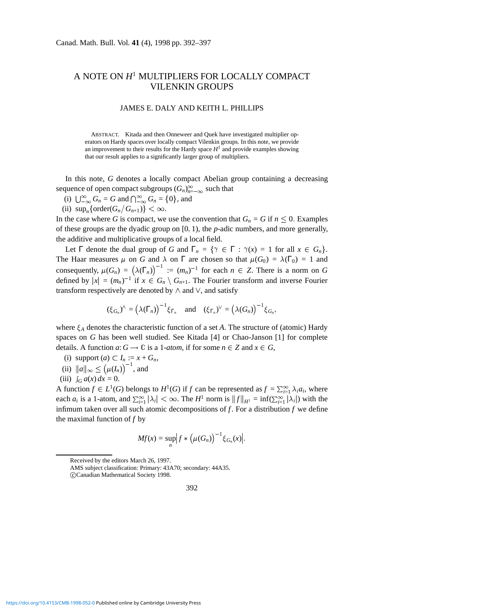## A NOTE ON *H*<sup>1</sup> MULTIPLIERS FOR LOCALLY COMPACT VILENKIN GROUPS

## JAMES E. DALY AND KEITH L. PHILLIPS

ABSTRACT. Kitada and then Onneweer and Quek have investigated multiplier operators on Hardy spaces over locally compact Vilenkin groups. In this note, we provide an improvement to their results for the Hardy space  $H<sup>1</sup>$  and provide examples showing that our result applies to a significantly larger group of multipliers.

In this note, *G* denotes a locally compact Abelian group containing a decreasing sequence of open compact subgroups  $(G_n)_{n=-\infty}^{\infty}$  such that

- (i)  $\bigcup_{-\infty}^{\infty} G_n = G$  and  $\bigcap_{-\infty}^{\infty} G_n = \{0\}$ , and
- (ii)  $\sup_n \{ \text{order}(G_n/G_{n+1}) \} < \infty.$

In the case where *G* is compact, we use the convention that  $G_n = G$  if  $n \leq 0$ . Examples of these groups are the dyadic group on [0ñ 1), the *p*-adic numbers, and more generally, the additive and multiplicative groups of a local field.

Let  $\Gamma$  denote the dual group of *G* and  $\Gamma_n = \{ \gamma \in \Gamma : \gamma(x) = 1 \text{ for all } x \in G_n \}.$ The Haar measures  $\mu$  on *G* and  $\lambda$  on  $\Gamma$  are chosen so that  $\mu(G_0) = \lambda(\Gamma_0) = 1$  and consequently,  $\mu(G_n) = (\lambda(\Gamma_n))^{-1} := (m_n)^{-1}$  for each  $n \in \mathbb{Z}$ . There is a norm on *G* defined by  $|x| = (m_n)^{-1}$  if  $x \in G_n \setminus G_{n+1}$ . The Fourier transform and inverse Fourier transform respectively are denoted by  $\wedge$  and  $\vee$ , and satisfy

$$
(\xi_{G_n})^{\wedge} = (\lambda(\Gamma_n))^{-1} \xi_{\Gamma_n} \quad \text{and} \quad (\xi_{\Gamma_n})^{\vee} = (\lambda(G_n))^{-1} \xi_{G_n},
$$

where  $\xi_A$  denotes the characteristic function of a set A. The structure of (atomic) Hardy spaces on *G* has been well studied. See Kitada [4] or Chao-Janson [1] for complete details. A function  $a: G \to \mathbb{C}$  is a 1-*atom*, if for some  $n \in \mathbb{Z}$  and  $x \in G$ ,

- (i) support  $(a) \subset I_n := x + G_n$ ,
- (ii)  $\|a\|_{\infty} \le (\mu(I_n))^{-1}$ , and
- (iii)  $\int_G a(x) dx = 0.$

A function  $f \in L^1(G)$  belongs to  $H^1(G)$  if  $f$  can be represented as  $f = \sum_{i=1}^{\infty} \lambda_i a_i$ , where each  $a_i$  is a 1-atom, and  $\sum_{i=1}^{\infty} |\lambda_i| < \infty$ . The *H*<sup>1</sup> norm is  $||f||_{H^1} = \inf(\sum_{i=1}^{\infty} |\lambda_i|)$  with the infimum taken over all such atomic decompositions of *f*. For a distribution *f* we define the maximal function of  $f$  by

$$
Mf(x) = \sup_n \Bigl| f * \bigl( \mu(G_n) \bigr)^{-1} \xi_{G_n}(x) \Bigr|.
$$

c Canadian Mathematical Society 1998.



Received by the editors March 26, 1997.

AMS subject classification: Primary: 43A70; secondary: 44A35.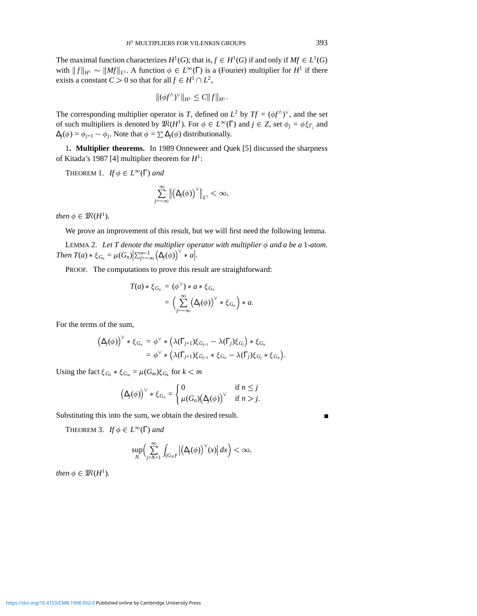The maximal function characterizes  $H^1(G)$ ; that is,  $f \in H^1(G)$  if and only if  $Mf \in L^1(G)$ with  $||f||_{H^1} \sim ||Mf||_{L^1}$ . A function  $\phi \in L^{\infty}(\Gamma)$  is a (Fourier) multiplier for  $H^1$  if there exists a constant  $C > 0$  so that for all  $f \in H^1 \cap L^2$ ,

$$
\|(\phi f^{\wedge})^{\vee}\|_{H^1} \leq C \|f\|_{H^1}.
$$

The corresponding multiplier operator is *T*, defined on  $L^2$  by  $Tf = (\phi f^{\wedge})^{\vee}$ , and the set of such multipliers is denoted by  $\mathfrak{M}(H^1)$ . For  $\phi \in L^{\infty}(\Gamma)$  and  $j \in \mathbb{Z}$ , set  $\phi_j = \phi \xi_{\Gamma_j}$  and  $\Delta_j(\phi) = \phi_{j+1} - \phi_j$ . Note that  $\phi = \sum \Delta_j(\phi)$  distributionally.

1**. Multiplier theorems.** In 1989 Onneweer and Quek [5] discussed the sharpness of Kitada's 1987 [4] multiplier theorem for *H*1:

THEOREM 1. *If*  $\phi \in L^{\infty}(\Gamma)$  *and* 

$$
\sum_{j=-\infty}^{\infty} \left\| \left( \Delta_j(\phi) \right)^{\vee} \right\|_{L^1} < \infty,
$$

*then*  $\phi \in \mathfrak{M}(H^1)$ *.* 

We prove an improvement of this result, but we will first need the following lemma.

LEMMA 2. Let T denote the multiplier operator with multiplier  $\phi$  and a be a 1-atom. *Then*  $T(a) * \xi_{G_n} = \mu(G_n) \Big| \sum_{j=-\infty}^{n-1} (\Delta_j(\phi))^{\vee} * a \Big|$ .

PROOF. The computations to prove this result are straightforward:

$$
T(a)*\xi_{G_n} = (\phi^{\vee}) * a * \xi_{G_n}
$$
  
= 
$$
\Big(\sum_{j=-\infty}^{\infty} (\Delta_j(\phi))^{\vee} * \xi_{G_n}\Big) * a.
$$

For the terms of the sum,

$$
\begin{aligned} \left(\Delta_j(\phi)\right)^{\vee} * \xi_{G_n} &= \phi^{\vee} * \left(\lambda(\Gamma_{j+1})\xi_{G_{j+1}} - \lambda(\Gamma_j)\xi_{G_j}\right) * \xi_{G_n} \\ &= \phi^{\vee} * \left(\lambda(\Gamma_{j+1})\xi_{G_{j+1}} * \xi_{G_n} - \lambda(\Gamma_j)\xi_{G_j} * \xi_{G_n}\right). \end{aligned}
$$

Using the fact  $\xi_{G_k} * \xi_{G_m} = \mu(G_m)\xi_{G_k}$  for  $k < m$ 

$$
(\Delta_j(\phi))^{\vee} * \xi_{G_n} = \begin{cases} 0 & \text{if } n \leq j \\ \mu(G_n)(\Delta_j(\phi))^{\vee} & \text{if } n > j. \end{cases}
$$

Substituting this into the sum, we obtain the desired result.

THEOREM 3. *If*  $\phi \in L^{\infty}(\Gamma)$  *and* 

$$
\sup_{N}\Bigl(\sum_{j=N+1}^{\infty}\int_{(G_{N})^{c}}\Bigl|\bigl(\Delta_{j}(\phi)\bigr)^{\vee}(x)\Bigr|\,dx\Bigr)<\infty,
$$

*then*  $\phi \in \mathfrak{M}(H^1)$ *.* 

 $\blacksquare$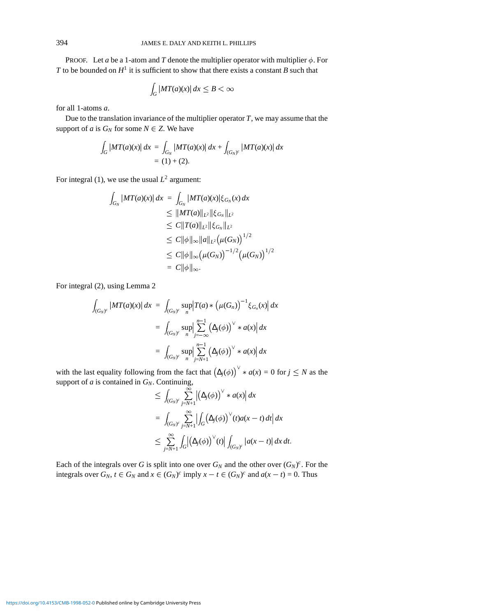PROOF. Let *a* be a 1-atom and *T* denote the multiplier operator with multiplier  $\phi$ . For *T* to be bounded on  $H^1$  it is sufficient to show that there exists a constant *B* such that

$$
\int_G |MT(a)(x)| dx \le B < \infty
$$

for all 1-atoms *a*.

Due to the translation invariance of the multiplier operator *T*, we may assume that the support of *a* is  $G_N$  for some  $N \in \mathbb{Z}$ . We have

$$
\int_G |MT(a)(x)| dx = \int_{G_N} |MT(a)(x)| dx + \int_{(G_N)^c} |MT(a)(x)| dx
$$
  
= (1) + (2).

For integral (1), we use the usual  $L^2$  argument:

$$
\int_{G_N} |MT(a)(x)| dx = \int_{G_N} |MT(a)(x)| \xi_{G_N}(x) dx
$$
  
\n
$$
\leq ||MT(a)||_{L^2} ||\xi_{G_N}||_{L^2}
$$
  
\n
$$
\leq C||T(a)||_{L^2} ||\xi_{G_N}||_{L^2}
$$
  
\n
$$
\leq C||\phi||_{\infty} ||a||_{L^2} (\mu(G_N))^{1/2}
$$
  
\n
$$
\leq C||\phi||_{\infty} (\mu(G_N))^{-1/2} (\mu(G_N))^{1/2}
$$
  
\n
$$
= C||\phi||_{\infty}.
$$

For integral (2), using Lemma 2

$$
\int_{(G_N)^c} |MT(a)(x)| dx = \int_{(G_N)^c} \sup_n |T(a) * (\mu(G_n))^{-1} \xi_{G_n}(x)| dx
$$
  

$$
= \int_{(G_N)^c} \sup_n \left| \sum_{j=-\infty}^{n-1} (\Delta_j(\phi))^\vee * a(x) \right| dx
$$
  

$$
= \int_{(G_N)^c} \sup_n \left| \sum_{j=N+1}^{n-1} (\Delta_j(\phi))^\vee * a(x) \right| dx
$$

with the last equality following from the fact that  $(\Delta_j(\phi))^{\vee} * a(x) = 0$  for  $j \leq N$  as the support of *a* is contained in  $G_N$ . Continuing,

$$
\leq \int_{(G_N)^c} \sum_{j=N+1}^{\infty} \left| \left( \Delta_j(\phi) \right)^\vee * a(x) \right| dx
$$
  
\n
$$
= \int_{(G_N)^c} \sum_{j=N+1}^{\infty} \left| \int_G \left( \Delta_j(\phi) \right)^\vee (t) a(x-t) dt \right| dx
$$
  
\n
$$
\leq \sum_{j=N+1}^{\infty} \int_G \left| \left( \Delta_j(\phi) \right)^\vee (t) \right| \int_{(G_N)^c} |a(x-t)| dx dt.
$$

Each of the integrals over *G* is split into one over  $G_N$  and the other over  $(G_N)^c$ . For the integrals over  $G_N$ ,  $t \in G_N$  and  $x \in (G_N)^c$  imply  $x - t \in (G_N)^c$  and  $a(x - t) = 0$ . Thus

<https://doi.org/10.4153/CMB-1998-052-0>Published online by Cambridge University Press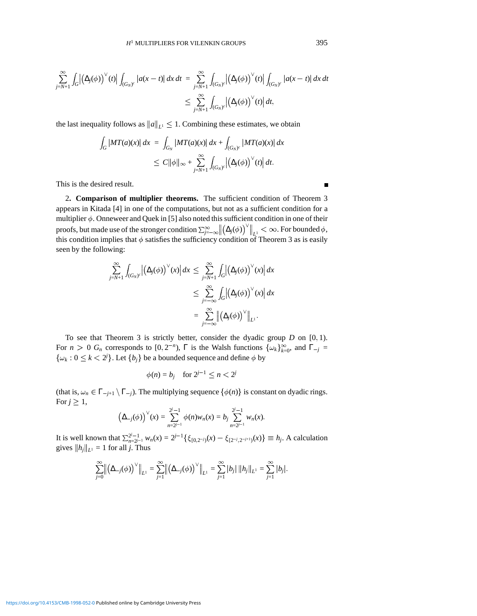$$
\sum_{j=N+1}^{\infty} \int_{G} \left| \left( \Delta_{j}(\phi) \right)^{\vee} (t) \right| \int_{(G_{N})^{c}} \left| a(x-t) \right| dx dt = \sum_{j=N+1}^{\infty} \int_{(G_{N})^{c}} \left| \left( \Delta_{j}(\phi) \right)^{\vee} (t) \right| \int_{(G_{N})^{c}} \left| a(x-t) \right| dx dt
$$
  

$$
\leq \sum_{j=N+1}^{\infty} \int_{(G_{N})^{c}} \left| \left( \Delta_{j}(\phi) \right)^{\vee} (t) \right| dt,
$$

the last inequality follows as  $||a||_{L^1} \leq 1$ . Combining these estimates, we obtain

$$
\int_G |MT(a)(x)| dx = \int_{G_N} |MT(a)(x)| dx + \int_{(G_N)^c} |MT(a)(x)| dx
$$
  
\n
$$
\leq C ||\phi||_{\infty} + \sum_{j=N+1}^{\infty} \int_{(G_N)^c} |(\Delta_j(\phi))^{\vee}(t)| dt.
$$

This is the desired result.

2**. Comparison of multiplier theorems.** The sufficient condition of Theorem 3 appears in Kitada [4] in one of the computations, but not as a sufficient condition for a multiplier  $\phi$ . Onneweer and Quek in [5] also noted this sufficient condition in one of their proofs, but made use of the stronger condition  $\sum_{i=-\infty}^{\infty}$   $\left| \right|$  $\left(\Delta_j(\phi)\right)^{\vee}\Big|_{L^1} < \infty$ . For bounded  $\phi$ , this condition implies that  $\phi$  satisfies the sufficiency condition of Theorem 3 as is easily seen by the following:

$$
\sum_{j=N+1}^{\infty} \int_{(G_N)^c} \left| \left( \Delta_j(\phi) \right)^{\vee} (x) \right| dx \leq \sum_{j=N+1}^{\infty} \int_G \left| \left( \Delta_j(\phi) \right)^{\vee} (x) \right| dx
$$
  

$$
\leq \sum_{j=-\infty}^{\infty} \int_G \left| \left( \Delta_j(\phi) \right)^{\vee} (x) \right| dx
$$
  

$$
= \sum_{j=-\infty}^{\infty} \left\| \left( \Delta_j(\phi) \right)^{\vee} \right\|_{L^1}.
$$

To see that Theorem 3 is strictly better, consider the dyadic group  $D$  on  $[0, 1)$ . For  $n > 0$   $G_n$  corresponds to  $[0, 2^{-n})$ ,  $\Gamma$  is the Walsh functions  $\{\omega_k\}_{k=0}^{\infty}$ , and  $\Gamma_{-j} =$  $\{\omega_k: 0 \leq k < 2^j\}$ . Let  $\{b_j\}$  be a bounded sequence and define  $\phi$  by

$$
\phi(n) = b_j \quad \text{for } 2^{j-1} \le n < 2^j
$$

(that is,  $\omega_n \in \Gamma_{-j+1} \setminus \Gamma_{-j}$ ). The multiplying sequence  $\{\phi(n)\}$  is constant on dyadic rings. For  $j \geq 1$ ,

$$
(\Delta_{-j}(\phi))^{\vee}(x) = \sum_{n=2^{j-1}}^{2^{j}-1} \phi(n)w_{n}(x) = b_{j} \sum_{n=2^{j-1}}^{2^{j}-1} w_{n}(x).
$$

It is well known that  $\sum_{n=2^{j-1}}^{2^{j}} w_n(x) = 2^{j-1} \{ \xi_{[0,2^{-j})}(x) - \xi_{[2^{-j},2^{-j+1})}(x) \} \equiv h_j$ . A calculation gives  $||h_j||_{L^1} = 1$  for all *j*. Thus

$$
\sum_{j=0}^{\infty} \left\| \left( \Delta_{-j}(\phi) \right)^{\vee} \right\|_{L^{1}} = \sum_{j=1}^{\infty} \left\| \left( \Delta_{-j}(\phi) \right)^{\vee} \right\|_{L^{1}} = \sum_{j=1}^{\infty} |b_{j}| \, ||h_{j}||_{L^{1}} = \sum_{j=1}^{\infty} |b_{j}|.
$$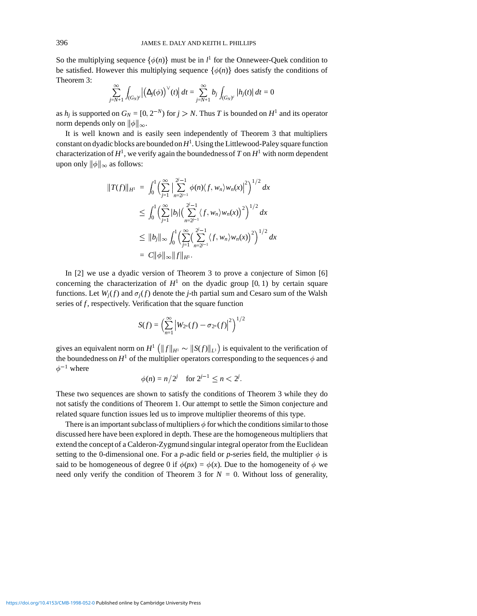So the multiplying sequence  $\{\phi(n)\}$  must be in  $l^1$  for the Onneweer-Quek condition to be satisfied. However this multiplying sequence  $\{\phi(n)\}\$  does satisfy the conditions of Theorem 3:

$$
\sum_{j=N+1}^{\infty} \int_{(G_N)^c} \left| \left( \Delta_j(\phi) \right)^{\vee} (t) \right| dt = \sum_{j=N+1}^{\infty} b_j \int_{(G_N)^c} |h_j(t)| dt = 0
$$

as  $h_j$  is supported on  $G_N = [0, 2^{-N})$  for  $j > N$ . Thus *T* is bounded on  $H^1$  and its operator norm depends only on  $\|\phi\|_{\infty}$ .

It is well known and is easily seen independently of Theorem 3 that multipliers constant on dyadic blocks are bounded on*H*<sup>1</sup> . Using the Littlewood-Paley square function characterization of  $H^1$ , we verify again the boundedness of *T* on  $H^1$  with norm dependent upon only  $\|\phi\|_{\infty}$  as follows:

$$
||T(f)||_{H^1} = \int_0^1 \left(\sum_{j=1}^{\infty} \left|\sum_{n=2^{j-1}}^{2^{j}-1} \phi(n)\langle f, w_n \rangle w_n(x)\right|^2\right)^{1/2} dx
$$
  
\n
$$
\leq \int_0^1 \left(\sum_{j=1}^{\infty} |b_j| \left(\sum_{n=2^{j-1}}^{2^{j}-1} \langle f, w_n \rangle w_n(x)\right)^2\right)^{1/2} dx
$$
  
\n
$$
\leq ||b_j||_{\infty} \int_0^1 \left(\sum_{j=1}^{\infty} \left(\sum_{n=2^{j-1}}^{2^{j}-1} \langle f, w_n \rangle w_n(x)\right)^2\right)^{1/2} dx
$$
  
\n
$$
= C||\phi||_{\infty} ||f||_{H^1}.
$$

In [2] we use a dyadic version of Theorem 3 to prove a conjecture of Simon [6] concerning the characterization of  $H^1$  on the dyadic group [0, 1) by certain square functions. Let  $W_i(f)$  and  $\sigma_i(f)$  denote the *j*-th partial sum and Cesaro sum of the Walsh series of *f*, respectively. Verification that the square function

$$
S(f) = \left(\sum_{n=1}^{\infty} \left| W_{2^n}(f) - \sigma_{2^n}(f) \right|^2 \right)^{1/2}
$$

gives an equivalent norm on  $H^1\left(\|f\|_{H^1}\sim \|S(f)\|_{L^1}\right)$  is equivalent to the verification of the boundedness on  $H^1$  of the multiplier operators corresponding to the sequences  $\phi$  and  $\phi^{-1}$  where

$$
\phi(n) = n/2^j
$$
 for  $2^{j-1} \le n < 2^j$ .

These two sequences are shown to satisfy the conditions of Theorem 3 while they do not satisfy the conditions of Theorem 1. Our attempt to settle the Simon conjecture and related square function issues led us to improve multiplier theorems of this type.

There is an important subclass of multipliers  $\phi$  for which the conditions similar to those discussed here have been explored in depth. These are the homogeneous multipliers that extend the concept of a Calderon-Zygmund singular integral operator from the Euclidean setting to the 0-dimensional one. For a *p*-adic field or *p*-series field, the multiplier  $\phi$  is said to be homogeneous of degree 0 if  $\phi(px) = \phi(x)$ . Due to the homogeneity of  $\phi$  we need only verify the condition of Theorem 3 for  $N = 0$ . Without loss of generality,